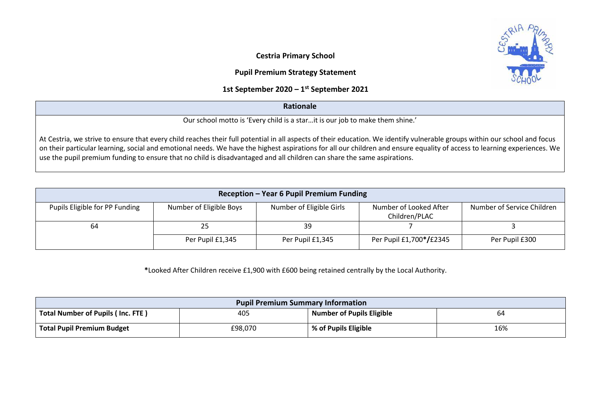**Cestria Primary School** 

## **Pupil Premium Strategy Statement**

## **1st September 2020 – 1 st September 2021**

## **Rationale**

Our school motto is 'Every child is a star…it is our job to make them shine.'

At Cestria, we strive to ensure that every child reaches their full potential in all aspects of their education. We identify vulnerable groups within our school and focus on their particular learning, social and emotional needs. We have the highest aspirations for all our children and ensure equality of access to learning experiences. We use the pupil premium funding to ensure that no child is disadvantaged and all children can share the same aspirations.

| Reception - Year 6 Pupil Premium Funding                                                                                                                       |                  |                  |                         |                |  |  |  |  |  |  |
|----------------------------------------------------------------------------------------------------------------------------------------------------------------|------------------|------------------|-------------------------|----------------|--|--|--|--|--|--|
| Number of Eligible Girls<br>Number of Looked After<br>Number of Eligible Boys<br>Number of Service Children<br>Pupils Eligible for PP Funding<br>Children/PLAC |                  |                  |                         |                |  |  |  |  |  |  |
| 64                                                                                                                                                             | 25               | 39               |                         |                |  |  |  |  |  |  |
|                                                                                                                                                                | Per Pupil £1,345 | Per Pupil £1,345 | Per Pupil £1,700*/£2345 | Per Pupil £300 |  |  |  |  |  |  |

**\***Looked After Children receive £1,900 with £600 being retained centrally by the Local Authority.

| <b>Pupil Premium Summary Information</b> |         |                                  |     |  |  |  |
|------------------------------------------|---------|----------------------------------|-----|--|--|--|
| Total Number of Pupils (Inc. FTE)        | 405     | <b>Number of Pupils Eligible</b> | 64  |  |  |  |
| <b>Total Pupil Premium Budget</b>        | £98,070 | % of Pupils Eligible             | 16% |  |  |  |

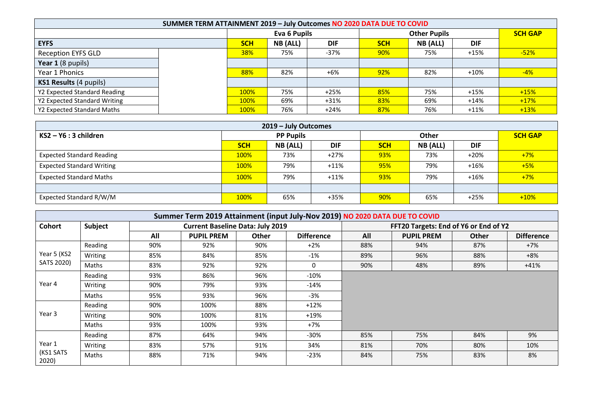| SUMMER TERM ATTAINMENT 2019 - July Outcomes NO 2020 DATA DUE TO COVID |  |            |              |            |                     |          |            |                |
|-----------------------------------------------------------------------|--|------------|--------------|------------|---------------------|----------|------------|----------------|
|                                                                       |  |            | Eva 6 Pupils |            | <b>Other Pupils</b> |          |            | <b>SCH GAP</b> |
| <b>EYFS</b>                                                           |  | <b>SCH</b> | NB (ALL)     | <b>DIF</b> | <b>SCH</b>          | NB (ALL) | <b>DIF</b> |                |
| <b>Reception EYFS GLD</b>                                             |  | 38%        | 75%          | $-37%$     | 90%                 | 75%      | $+15%$     | $-52%$         |
| Year 1 (8 pupils)                                                     |  |            |              |            |                     |          |            |                |
| Year 1 Phonics                                                        |  | 88%        | 82%          | $+6%$      | 92%                 | 82%      | $+10%$     | $-4%$          |
| KS1 Results (4 pupils)                                                |  |            |              |            |                     |          |            |                |
| Y2 Expected Standard Reading                                          |  | 100%       | 75%          | $+25%$     | 85%                 | 75%      | $+15%$     | $+15%$         |
| Y2 Expected Standard Writing                                          |  | 100%       | 69%          | $+31%$     | 83%                 | 69%      | $+14%$     | $+17%$         |
| Y2 Expected Standard Maths                                            |  | 100%       | 76%          | $+24%$     | 87%                 | 76%      | $+11%$     | $+13%$         |

| 2019 - July Outcomes             |             |                  |            |            |          |            |                |  |  |
|----------------------------------|-------------|------------------|------------|------------|----------|------------|----------------|--|--|
| $KS2 - Y6:3$ children            |             | <b>PP Pupils</b> |            | Other      |          |            | <b>SCH GAP</b> |  |  |
|                                  | <b>SCH</b>  | <b>NB</b> (ALL)  | <b>DIF</b> | <b>SCH</b> | NB (ALL) | <b>DIF</b> |                |  |  |
| <b>Expected Standard Reading</b> | 100%        | 73%              | $+27%$     | 93%        | 73%      | $+20%$     | $+7%$          |  |  |
| <b>Expected Standard Writing</b> | 100%        | 79%              | $+11%$     | 95%        | 79%      | $+16%$     | $+5%$          |  |  |
| <b>Expected Standard Maths</b>   | 100%        | 79%              | $+11%$     | 93%        | 79%      | $+16%$     | $+7%$          |  |  |
|                                  |             |                  |            |            |          |            |                |  |  |
| Expected Standard R/W/M          | <b>100%</b> | 65%              | +35%       | 90%        | 65%      | $+25%$     | $+10%$         |  |  |

|                              | Summer Term 2019 Attainment (input July-Nov 2019) NO 2020 DATA DUE TO COVID |     |                                         |              |                   |                                       |                   |              |                   |  |
|------------------------------|-----------------------------------------------------------------------------|-----|-----------------------------------------|--------------|-------------------|---------------------------------------|-------------------|--------------|-------------------|--|
| <b>Cohort</b>                | Subject                                                                     |     | <b>Current Baseline Data: July 2019</b> |              |                   | FFT20 Targets: End of Y6 or End of Y2 |                   |              |                   |  |
|                              |                                                                             | All | <b>PUPIL PREM</b>                       | <b>Other</b> | <b>Difference</b> | All                                   | <b>PUPIL PREM</b> | <b>Other</b> | <b>Difference</b> |  |
|                              | Reading                                                                     | 90% | 92%                                     | 90%          | $+2\%$            | 88%                                   | 94%               | 87%          | $+7%$             |  |
| Year 5 (KS2                  | Writing                                                                     | 85% | 84%                                     | 85%          | $-1\%$            | 89%                                   | 96%               | 88%          | $+8%$             |  |
| SATS 2020)                   | Maths                                                                       | 83% | 92%                                     | 92%          | $\Omega$          | 90%                                   | 48%               | 89%          | $+41%$            |  |
|                              | Reading                                                                     | 93% | 86%                                     | 96%          | $-10%$            |                                       |                   |              |                   |  |
| Year 4                       | Writing                                                                     | 90% | 79%                                     | 93%          | $-14%$            |                                       |                   |              |                   |  |
|                              | Maths                                                                       | 95% | 93%                                     | 96%          | -3%               |                                       |                   |              |                   |  |
|                              | Reading                                                                     | 90% | 100%                                    | 88%          | $+12%$            |                                       |                   |              |                   |  |
| Year 3                       | Writing                                                                     | 90% | 100%                                    | 81%          | $+19%$            |                                       |                   |              |                   |  |
|                              | Maths                                                                       | 93% | 100%                                    | 93%          | +7%               |                                       |                   |              |                   |  |
|                              | Reading                                                                     | 87% | 64%                                     | 94%          | $-30\%$           | 85%                                   | 75%               | 84%          | 9%                |  |
| Year 1<br>(KS1 SATS<br>2020) | Writing                                                                     | 83% | 57%                                     | 91%          | 34%               | 81%                                   | 70%               | 80%          | 10%               |  |
|                              | Maths                                                                       | 88% | 71%                                     | 94%          | $-23%$            | 84%                                   | 75%               | 83%          | 8%                |  |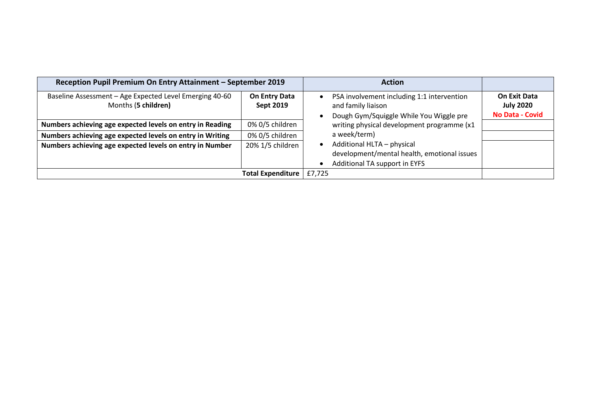| Reception Pupil Premium On Entry Attainment - September 2019                   |                                   |        | <b>Action</b>                                                                                               |                                                            |
|--------------------------------------------------------------------------------|-----------------------------------|--------|-------------------------------------------------------------------------------------------------------------|------------------------------------------------------------|
| Baseline Assessment - Age Expected Level Emerging 40-60<br>Months (5 children) | On Entry Data<br><b>Sept 2019</b> |        | PSA involvement including 1:1 intervention<br>and family liaison<br>Dough Gym/Squiggle While You Wiggle pre | <b>On Exit Data</b><br><b>July 2020</b><br>No Data - Covid |
| Numbers achieving age expected levels on entry in Reading                      | 0% 0/5 children                   |        | writing physical development programme (x1                                                                  |                                                            |
| Numbers achieving age expected levels on entry in Writing                      | 0% 0/5 children                   |        | a week/term)                                                                                                |                                                            |
| Numbers achieving age expected levels on entry in Number                       | 20% 1/5 children                  |        | Additional HLTA - physical<br>development/mental health, emotional issues<br>Additional TA support in EYFS  |                                                            |
|                                                                                | <b>Total Expenditure</b>          | £7,725 |                                                                                                             |                                                            |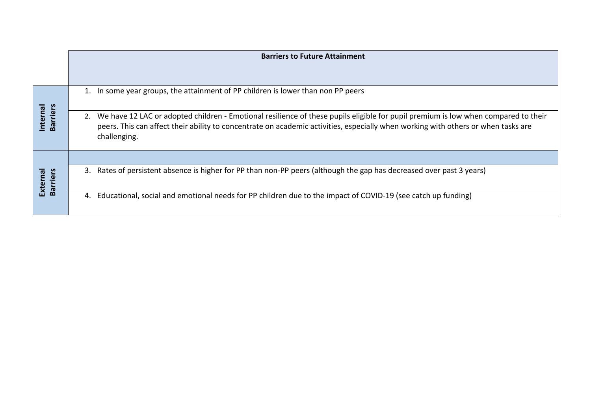|                             | <b>Barriers to Future Attainment</b>                                                                                                                                                                                                                                                          |
|-----------------------------|-----------------------------------------------------------------------------------------------------------------------------------------------------------------------------------------------------------------------------------------------------------------------------------------------|
|                             |                                                                                                                                                                                                                                                                                               |
|                             | 1. In some year groups, the attainment of PP children is lower than non PP peers                                                                                                                                                                                                              |
| <b>Barriers</b><br>Internal | We have 12 LAC or adopted children - Emotional resilience of these pupils eligible for pupil premium is low when compared to their<br>2.<br>peers. This can affect their ability to concentrate on academic activities, especially when working with others or when tasks are<br>challenging. |
|                             |                                                                                                                                                                                                                                                                                               |
| External<br>Barriers        | Rates of persistent absence is higher for PP than non-PP peers (although the gap has decreased over past 3 years)<br>3.                                                                                                                                                                       |
|                             | Educational, social and emotional needs for PP children due to the impact of COVID-19 (see catch up funding)<br>4.                                                                                                                                                                            |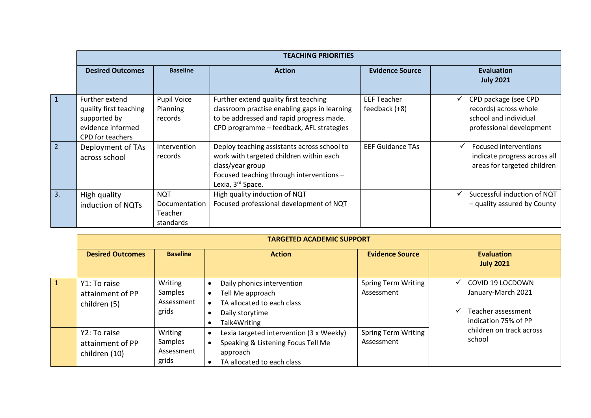|                |                                                                                                          |                                                     | <b>TEACHING PRIORITIES</b>                                                                                                                                                              |                                     |                                                                                                    |
|----------------|----------------------------------------------------------------------------------------------------------|-----------------------------------------------------|-----------------------------------------------------------------------------------------------------------------------------------------------------------------------------------------|-------------------------------------|----------------------------------------------------------------------------------------------------|
|                | <b>Desired Outcomes</b>                                                                                  | <b>Baseline</b>                                     | <b>Action</b>                                                                                                                                                                           | <b>Evidence Source</b>              | <b>Evaluation</b><br><b>July 2021</b>                                                              |
| $\mathbf{1}$   | Further extend<br>quality first teaching<br>supported by<br>evidence informed<br><b>CPD</b> for teachers | Pupil Voice<br>Planning<br>records                  | Further extend quality first teaching<br>classroom practise enabling gaps in learning<br>to be addressed and rapid progress made.<br>CPD programme - feedback, AFL strategies           | <b>EEF Teacher</b><br>feedback (+8) | CPD package (see CPD<br>records) across whole<br>school and individual<br>professional development |
| $\overline{2}$ | Deployment of TAs<br>across school                                                                       | Intervention<br>records                             | Deploy teaching assistants across school to<br>work with targeted children within each<br>class/year group<br>Focused teaching through interventions -<br>Lexia, 3 <sup>rd</sup> Space. | <b>EEF Guidance TAs</b>             | <b>Focused interventions</b><br>indicate progress across all<br>areas for targeted children        |
| 3.             | High quality<br>induction of NQTs                                                                        | <b>NQT</b><br>Documentation<br>Teacher<br>standards | High quality induction of NQT<br>Focused professional development of NQT                                                                                                                |                                     | Successful induction of NQT<br>- quality assured by County                                         |

|              | <b>TARGETED ACADEMIC SUPPORT</b>                  |                                           |                                                                                                                                                    |                                          |                                                                                                                      |  |  |  |
|--------------|---------------------------------------------------|-------------------------------------------|----------------------------------------------------------------------------------------------------------------------------------------------------|------------------------------------------|----------------------------------------------------------------------------------------------------------------------|--|--|--|
|              | <b>Desired Outcomes</b>                           | <b>Baseline</b>                           | <b>Action</b>                                                                                                                                      | <b>Evidence Source</b>                   | <b>Evaluation</b><br><b>July 2021</b>                                                                                |  |  |  |
| $\mathbf{1}$ | Y1: To raise<br>attainment of PP<br>children (5)  | Writing<br>Samples<br>Assessment<br>grids | Daily phonics intervention<br>Tell Me approach<br>$\bullet$<br>TA allocated to each class<br>Daily storytime<br>Talk4Writing                       | <b>Spring Term Writing</b><br>Assessment | COVID 19 LOCDOWN<br>$\checkmark$<br>January-March 2021<br>Teacher assessment<br>$\checkmark$<br>indication 75% of PP |  |  |  |
|              | Y2: To raise<br>attainment of PP<br>children (10) | Writing<br>Samples<br>Assessment<br>grids | Lexia targeted intervention (3 x Weekly)<br>$\bullet$<br>Speaking & Listening Focus Tell Me<br>$\bullet$<br>approach<br>TA allocated to each class | <b>Spring Term Writing</b><br>Assessment | children on track across<br>school                                                                                   |  |  |  |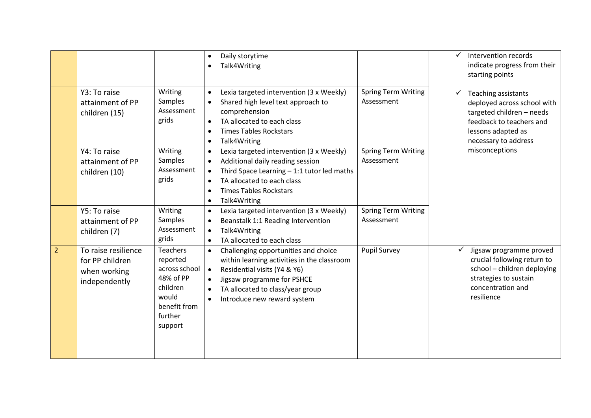|                |                                                                         |                                                                                                               | Daily storytime<br>$\bullet$<br>Talk4Writing                                                                                                                                                                                                                                             |                                          | ✓ | Intervention records<br>indicate progress from their<br>starting points                                                                                   |
|----------------|-------------------------------------------------------------------------|---------------------------------------------------------------------------------------------------------------|------------------------------------------------------------------------------------------------------------------------------------------------------------------------------------------------------------------------------------------------------------------------------------------|------------------------------------------|---|-----------------------------------------------------------------------------------------------------------------------------------------------------------|
|                | Y3: To raise<br>attainment of PP<br>children (15)                       | Writing<br>Samples<br>Assessment<br>grids                                                                     | Lexia targeted intervention (3 x Weekly)<br>$\bullet$<br>Shared high level text approach to<br>$\bullet$<br>comprehension<br>TA allocated to each class<br>$\bullet$<br><b>Times Tables Rockstars</b><br>$\bullet$<br>Talk4Writing<br>$\bullet$                                          | <b>Spring Term Writing</b><br>Assessment |   | Teaching assistants<br>deployed across school with<br>targeted children - needs<br>feedback to teachers and<br>lessons adapted as<br>necessary to address |
|                | Y4: To raise<br>attainment of PP<br>children (10)                       | Writing<br>Samples<br>Assessment<br>grids                                                                     | Lexia targeted intervention (3 x Weekly)<br>$\bullet$<br>Additional daily reading session<br>$\bullet$<br>Third Space Learning $-1:1$ tutor led maths<br>$\bullet$<br>TA allocated to each class<br>$\bullet$<br><b>Times Tables Rockstars</b><br>$\bullet$<br>Talk4Writing<br>$\bullet$ | <b>Spring Term Writing</b><br>Assessment |   | misconceptions                                                                                                                                            |
|                | Y5: To raise<br>attainment of PP<br>children (7)                        | Writing<br>Samples<br>Assessment<br>grids                                                                     | Lexia targeted intervention (3 x Weekly)<br>$\bullet$<br>Beanstalk 1:1 Reading Intervention<br>$\bullet$<br>Talk4Writing<br>$\bullet$<br>TA allocated to each class<br>$\bullet$                                                                                                         | <b>Spring Term Writing</b><br>Assessment |   |                                                                                                                                                           |
| $\overline{2}$ | To raise resilience<br>for PP children<br>when working<br>independently | Teachers<br>reported<br>across school<br>48% of PP<br>children<br>would<br>benefit from<br>further<br>support | Challenging opportunities and choice<br>$\bullet$<br>within learning activities in the classroom<br>Residential visits (Y4 & Y6)<br>$\bullet$<br>Jigsaw programme for PSHCE<br>$\bullet$<br>TA allocated to class/year group<br>$\bullet$<br>Introduce new reward system<br>$\bullet$    | <b>Pupil Survey</b>                      | ✓ | Jigsaw programme proved<br>crucial following return to<br>school - children deploying<br>strategies to sustain<br>concentration and<br>resilience         |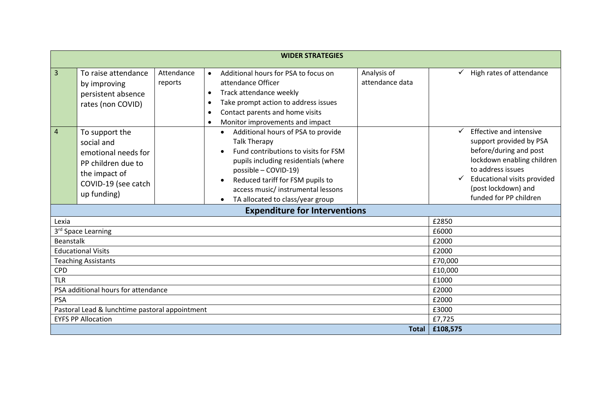|                    | <b>WIDER STRATEGIES</b>                                                                                                          |                       |                                                                                                                                                                                                                                                                                                        |                         |                                                                                                                                                                                                                 |  |  |  |  |
|--------------------|----------------------------------------------------------------------------------------------------------------------------------|-----------------------|--------------------------------------------------------------------------------------------------------------------------------------------------------------------------------------------------------------------------------------------------------------------------------------------------------|-------------------------|-----------------------------------------------------------------------------------------------------------------------------------------------------------------------------------------------------------------|--|--|--|--|
| 3                  | To raise attendance<br>by improving<br>persistent absence<br>rates (non COVID)                                                   | Attendance<br>reports | Analysis of<br>Additional hours for PSA to focus on<br>$\bullet$<br>attendance data<br>attendance Officer<br>Track attendance weekly<br>$\bullet$<br>Take prompt action to address issues<br>$\bullet$<br>Contact parents and home visits<br>$\bullet$<br>Monitor improvements and impact<br>$\bullet$ |                         | High rates of attendance                                                                                                                                                                                        |  |  |  |  |
| $\overline{4}$     | To support the<br>social and<br>emotional needs for<br>PP children due to<br>the impact of<br>COVID-19 (see catch<br>up funding) |                       | Additional hours of PSA to provide<br>$\bullet$<br><b>Talk Therapy</b><br>Fund contributions to visits for FSM<br>pupils including residentials (where<br>possible - COVID-19)<br>Reduced tariff for FSM pupils to<br>access music/instrumental lessons<br>TA allocated to class/year group            | $\checkmark$            | Effective and intensive<br>support provided by PSA<br>before/during and post<br>lockdown enabling children<br>to address issues<br>Educational visits provided<br>(post lockdown) and<br>funded for PP children |  |  |  |  |
|                    |                                                                                                                                  |                       | <b>Expenditure for Interventions</b>                                                                                                                                                                                                                                                                   |                         |                                                                                                                                                                                                                 |  |  |  |  |
| Lexia<br>Beanstalk | 3rd Space Learning                                                                                                               |                       |                                                                                                                                                                                                                                                                                                        | £2850<br>£6000<br>£2000 |                                                                                                                                                                                                                 |  |  |  |  |
|                    | <b>Educational Visits</b>                                                                                                        |                       |                                                                                                                                                                                                                                                                                                        | £2000                   |                                                                                                                                                                                                                 |  |  |  |  |
| <b>CPD</b>         | <b>Teaching Assistants</b>                                                                                                       |                       |                                                                                                                                                                                                                                                                                                        | £70,000<br>£10,000      |                                                                                                                                                                                                                 |  |  |  |  |
| <b>TLR</b>         |                                                                                                                                  |                       |                                                                                                                                                                                                                                                                                                        | £1000                   |                                                                                                                                                                                                                 |  |  |  |  |
|                    | PSA additional hours for attendance                                                                                              | £2000                 |                                                                                                                                                                                                                                                                                                        |                         |                                                                                                                                                                                                                 |  |  |  |  |
| <b>PSA</b>         |                                                                                                                                  | £2000                 |                                                                                                                                                                                                                                                                                                        |                         |                                                                                                                                                                                                                 |  |  |  |  |
|                    | Pastoral Lead & lunchtime pastoral appointment                                                                                   |                       |                                                                                                                                                                                                                                                                                                        | £3000                   |                                                                                                                                                                                                                 |  |  |  |  |
|                    | <b>EYFS PP Allocation</b>                                                                                                        |                       |                                                                                                                                                                                                                                                                                                        | £7,725                  |                                                                                                                                                                                                                 |  |  |  |  |
|                    |                                                                                                                                  |                       | Total                                                                                                                                                                                                                                                                                                  | £108,575                |                                                                                                                                                                                                                 |  |  |  |  |